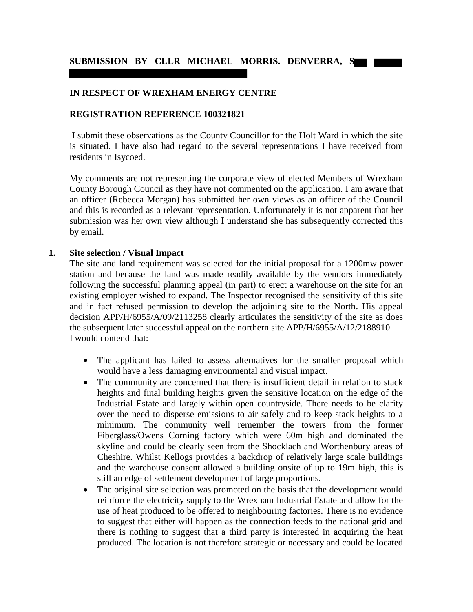## **IN RESPECT OF WREXHAM ENERGY CENTRE**

### **REGISTRATION REFERENCE 100321821**

 I submit these observations as the County Councillor for the Holt Ward in which the site is situated. I have also had regard to the several representations I have received from residents in Isycoed.

My comments are not representing the corporate view of elected Members of Wrexham County Borough Council as they have not commented on the application. I am aware that an officer (Rebecca Morgan) has submitted her own views as an officer of the Council and this is recorded as a relevant representation. Unfortunately it is not apparent that her submission was her own view although I understand she has subsequently corrected this by email.

#### **1. Site selection / Visual Impact**

The site and land requirement was selected for the initial proposal for a 1200mw power station and because the land was made readily available by the vendors immediately following the successful planning appeal (in part) to erect a warehouse on the site for an existing employer wished to expand. The Inspector recognised the sensitivity of this site and in fact refused permission to develop the adjoining site to the North. His appeal decision APP/H/6955/A/09/2113258 clearly articulates the sensitivity of the site as does the subsequent later successful appeal on the northern site APP/H/6955/A/12/2188910. I would contend that:

- The applicant has failed to assess alternatives for the smaller proposal which would have a less damaging environmental and visual impact.
- The community are concerned that there is insufficient detail in relation to stack heights and final building heights given the sensitive location on the edge of the Industrial Estate and largely within open countryside. There needs to be clarity over the need to disperse emissions to air safely and to keep stack heights to a minimum. The community well remember the towers from the former Fiberglass/Owens Corning factory which were 60m high and dominated the skyline and could be clearly seen from the Shocklach and Worthenbury areas of Cheshire. Whilst Kellogs provides a backdrop of relatively large scale buildings and the warehouse consent allowed a building onsite of up to 19m high, this is still an edge of settlement development of large proportions.
- The original site selection was promoted on the basis that the development would reinforce the electricity supply to the Wrexham Industrial Estate and allow for the use of heat produced to be offered to neighbouring factories. There is no evidence to suggest that either will happen as the connection feeds to the national grid and there is nothing to suggest that a third party is interested in acquiring the heat produced. The location is not therefore strategic or necessary and could be located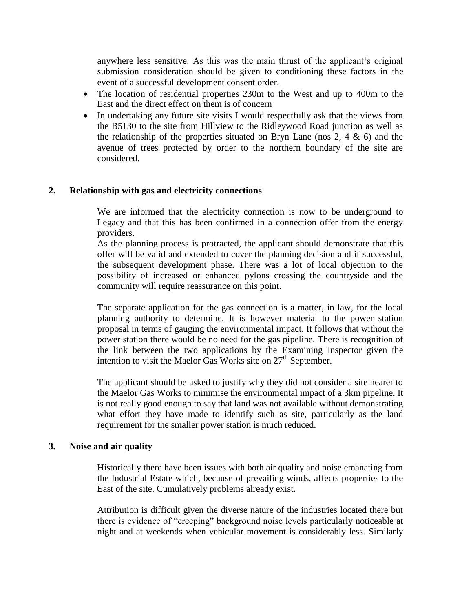anywhere less sensitive. As this was the main thrust of the applicant's original submission consideration should be given to conditioning these factors in the event of a successful development consent order.

- The location of residential properties 230m to the West and up to 400m to the East and the direct effect on them is of concern
- In undertaking any future site visits I would respectfully ask that the views from the B5130 to the site from Hillview to the Ridleywood Road junction as well as the relationship of the properties situated on Bryn Lane (nos 2, 4  $\&$  6) and the avenue of trees protected by order to the northern boundary of the site are considered.

# **2. Relationship with gas and electricity connections**

We are informed that the electricity connection is now to be underground to Legacy and that this has been confirmed in a connection offer from the energy providers.

As the planning process is protracted, the applicant should demonstrate that this offer will be valid and extended to cover the planning decision and if successful, the subsequent development phase. There was a lot of local objection to the possibility of increased or enhanced pylons crossing the countryside and the community will require reassurance on this point.

The separate application for the gas connection is a matter, in law, for the local planning authority to determine. It is however material to the power station proposal in terms of gauging the environmental impact. It follows that without the power station there would be no need for the gas pipeline. There is recognition of the link between the two applications by the Examining Inspector given the intention to visit the Maelor Gas Works site on  $27<sup>th</sup>$  September.

The applicant should be asked to justify why they did not consider a site nearer to the Maelor Gas Works to minimise the environmental impact of a 3km pipeline. It is not really good enough to say that land was not available without demonstrating what effort they have made to identify such as site, particularly as the land requirement for the smaller power station is much reduced.

### **3. Noise and air quality**

Historically there have been issues with both air quality and noise emanating from the Industrial Estate which, because of prevailing winds, affects properties to the East of the site. Cumulatively problems already exist.

Attribution is difficult given the diverse nature of the industries located there but there is evidence of "creeping" background noise levels particularly noticeable at night and at weekends when vehicular movement is considerably less. Similarly